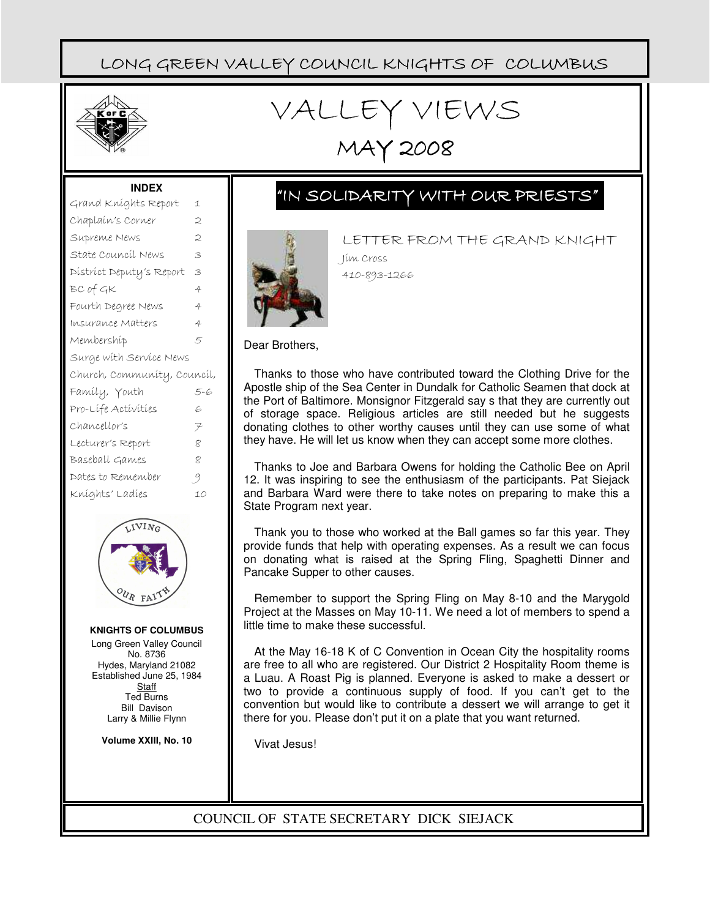

# VALLEY VIEWS

MAY 2008

#### **INDEX**

| Grand Kníghts Report        | 1   |
|-----------------------------|-----|
| Chaplaín's Corner           | 2   |
| Supreme News                | 2   |
| State Council News          | 3   |
| District Deputy's Report    | 3   |
| BC of GK                    | 4   |
| Fourth Degree News          | 4   |
| Insurance Matters           | 4   |
| Membershíp                  | 5   |
| Surge with Service News     |     |
|                             |     |
| Church, Community, Council, |     |
| Famíly, Youth               | 5-6 |
| Pro-Lífe Activities         | 6   |
| Chancellor's                | ヲ   |
| Lecturer's Report           | 8   |
| Baseball Games              | 8   |
| Dates to Remember           | 9   |
| Kníghts' Ladíes             | 10  |



**KNIGHTS OF COLUMBUS** Long Green Valley Council No. 8736 Hydes, Maryland 21082 Established June 25, 1984 **Staff** Ted Burns Bill Davison Larry & Millie Flynn

**Volume XXIII, No. 10**

# "IN SOLIDARITY WITH OUR PRIESTS"



LETTER FROM THE GRAND KNIGHT Jim Cross 410-893-1266

Dear Brothers,

Thanks to those who have contributed toward the Clothing Drive for the Apostle ship of the Sea Center in Dundalk for Catholic Seamen that dock at the Port of Baltimore. Monsignor Fitzgerald say s that they are currently out of storage space. Religious articles are still needed but he suggests donating clothes to other worthy causes until they can use some of what they have. He will let us know when they can accept some more clothes.

Thanks to Joe and Barbara Owens for holding the Catholic Bee on April 12. It was inspiring to see the enthusiasm of the participants. Pat Siejack and Barbara Ward were there to take notes on preparing to make this a State Program next year.

Thank you to those who worked at the Ball games so far this year. They provide funds that help with operating expenses. As a result we can focus on donating what is raised at the Spring Fling, Spaghetti Dinner and Pancake Supper to other causes.

Remember to support the Spring Fling on May 8-10 and the Marygold Project at the Masses on May 10-11. We need a lot of members to spend a little time to make these successful.

At the May 16-18 K of C Convention in Ocean City the hospitality rooms are free to all who are registered. Our District 2 Hospitality Room theme is a Luau. A Roast Pig is planned. Everyone is asked to make a dessert or two to provide a continuous supply of food. If you can't get to the convention but would like to contribute a dessert we will arrange to get it there for you. Please don't put it on a plate that you want returned.

Vivat Jesus!

l

COUNCIL OF STATE SECRETARY DICK SIEJACK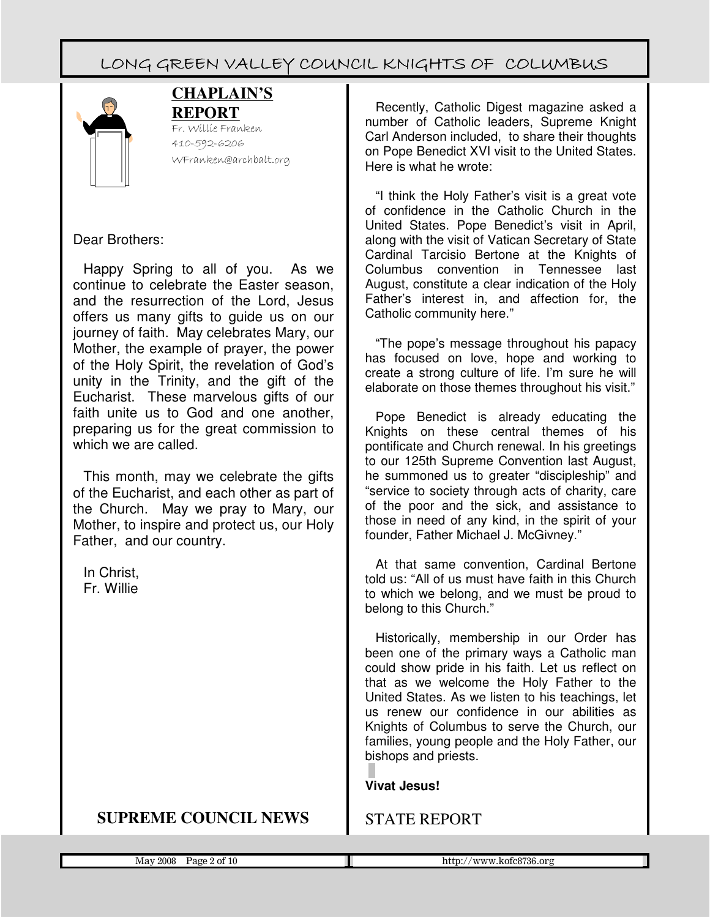

### **CHAPLAIN'S REPORT**

Fr. Willie Franken 410-592-6206 WFranken@archbalt.org

### Dear Brothers:

Happy Spring to all of you. As we continue to celebrate the Easter season, and the resurrection of the Lord, Jesus offers us many gifts to guide us on our journey of faith. May celebrates Mary, our Mother, the example of prayer, the power of the Holy Spirit, the revelation of God's unity in the Trinity, and the gift of the Eucharist. These marvelous gifts of our faith unite us to God and one another, preparing us for the great commission to which we are called.

This month, may we celebrate the gifts of the Eucharist, and each other as part of the Church. May we pray to Mary, our Mother, to inspire and protect us, our Holy Father, and our country.

In Christ, Fr. Willie

### **SUPREME COUNCIL NEWS**

Recently, Catholic Digest magazine asked a number of Catholic leaders, Supreme Knight Carl Anderson included, to share their thoughts on Pope Benedict XVI visit to the United States. Here is what he wrote:

"I think the Holy Father's visit is a great vote of confidence in the Catholic Church in the United States. Pope Benedict's visit in April, along with the visit of Vatican Secretary of State Cardinal Tarcisio Bertone at the Knights of Columbus convention in Tennessee last August, constitute a clear indication of the Holy Father's interest in, and affection for, the Catholic community here."

"The pope's message throughout his papacy has focused on love, hope and working to create a strong culture of life. I'm sure he will elaborate on those themes throughout his visit."

Pope Benedict is already educating the Knights on these central themes of his pontificate and Church renewal. In his greetings to our 125th Supreme Convention last August, he summoned us to greater "discipleship" and "service to society through acts of charity, care of the poor and the sick, and assistance to those in need of any kind, in the spirit of your founder, Father Michael J. McGivney."

At that same convention, Cardinal Bertone told us: "All of us must have faith in this Church to which we belong, and we must be proud to belong to this Church."

Historically, membership in our Order has been one of the primary ways a Catholic man could show pride in his faith. Let us reflect on that as we welcome the Holy Father to the United States. As we listen to his teachings, let us renew our confidence in our abilities as Knights of Columbus to serve the Church, our families, young people and the Holy Father, our bishops and priests.

#### **Vivat Jesus!**

### STATE REPORT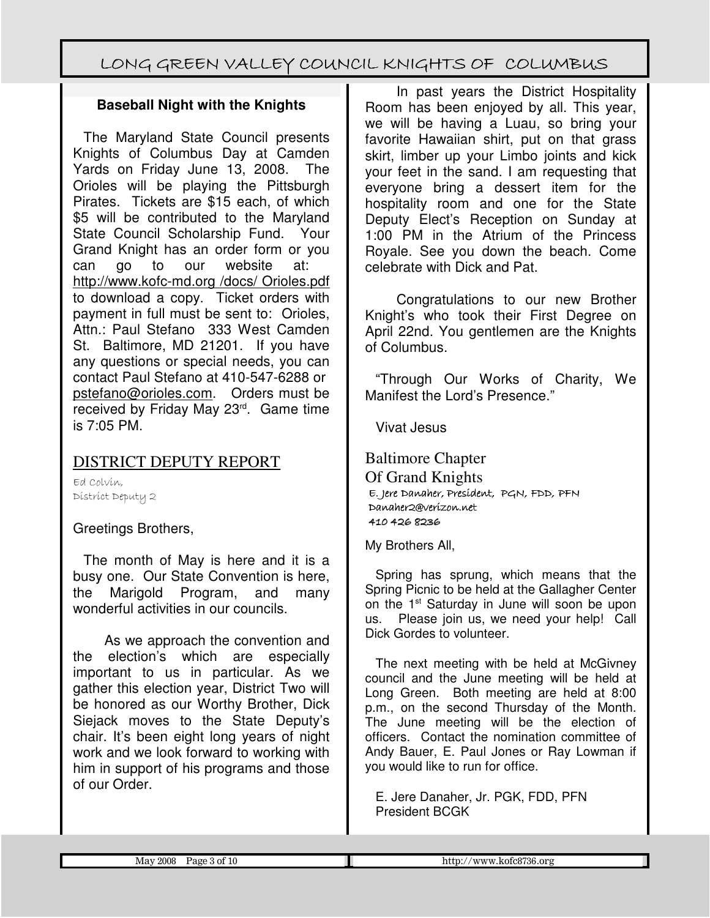### **Baseball Night with the Knights**

The Maryland State Council presents Knights of Columbus Day at Camden Yards on Friday June 13, 2008. The Orioles will be playing the Pittsburgh Pirates. Tickets are \$15 each, of which \$5 will be contributed to the Maryland State Council Scholarship Fund. Your Grand Knight has an order form or you can go to our website at: http://www.kofc-md.org /docs/ Orioles.pdf to download a copy. Ticket orders with payment in full must be sent to: Orioles, Attn.: Paul Stefano 333 West Camden St. Baltimore, MD 21201. If you have any questions or special needs, you can contact Paul Stefano at 410-547-6288 or pstefano@orioles.com. Orders must be received by Friday May 23rd. Game time is 7:05 PM.

### DISTRICT DEPUTY REPORT

Ed Colvin, District Deputy 2

Greetings Brothers,

The month of May is here and it is a busy one. Our State Convention is here, the Marigold Program, and many wonderful activities in our councils.

As we approach the convention and the election's which are especially important to us in particular. As we gather this election year, District Two will be honored as our Worthy Brother, Dick Siejack moves to the State Deputy's chair. It's been eight long years of night work and we look forward to working with him in support of his programs and those of our Order.

In past years the District Hospitality Room has been enjoyed by all. This year, we will be having a Luau, so bring your favorite Hawaiian shirt, put on that grass skirt, limber up your Limbo joints and kick your feet in the sand. I am requesting that everyone bring a dessert item for the hospitality room and one for the State Deputy Elect's Reception on Sunday at 1:00 PM in the Atrium of the Princess Royale. See you down the beach. Come celebrate with Dick and Pat.

Congratulations to our new Brother Knight's who took their First Degree on April 22nd. You gentlemen are the Knights of Columbus.

"Through Our Works of Charity, We Manifest the Lord's Presence."

Vivat Jesus

Baltimore Chapter Of Grand Knights E. Jere Jere Danaher, President, President, PGN, FDD, PFN Danaher2@verizon.net 410 426 8236

My Brothers All,

Spring has sprung, which means that the Spring Picnic to be held at the Gallagher Center on the 1<sup>st</sup> Saturday in June will soon be upon us. Please join us, we need your help! Call Dick Gordes to volunteer.

The next meeting with be held at McGivney council and the June meeting will be held at Long Green. Both meeting are held at 8:00 p.m., on the second Thursday of the Month. The June meeting will be the election of officers. Contact the nomination committee of Andy Bauer, E. Paul Jones or Ray Lowman if you would like to run for office.

E. Jere Danaher, Jr. PGK, FDD, PFN President BCGK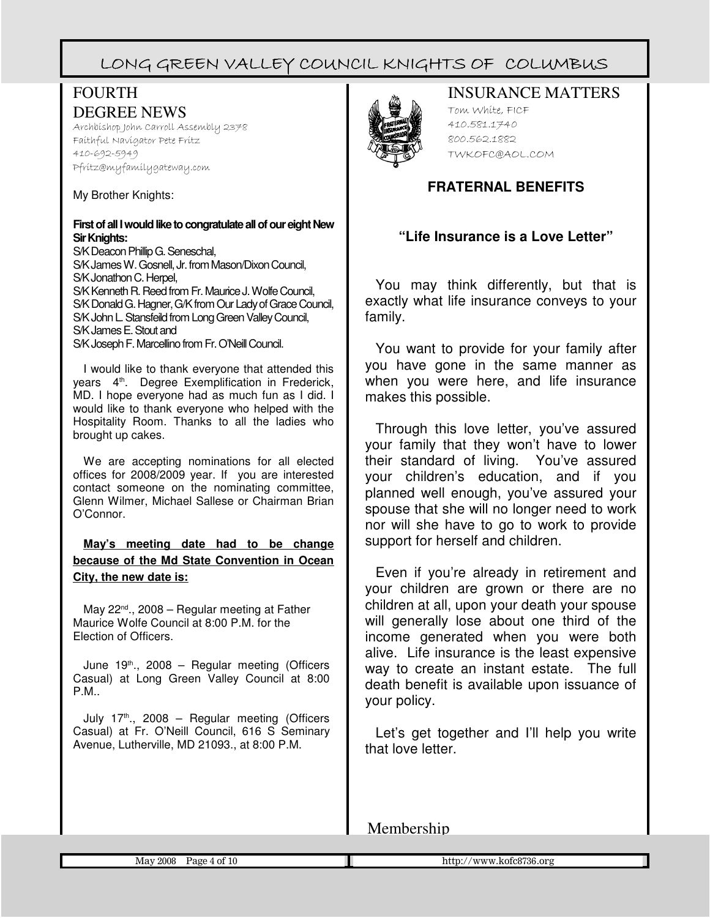### FOURTH DEGREE NEWS

Archbishop John Carroll Assembly 2378 Faithful Navigator Pete Fritz 410-692-5949 Pfritz@myfamilygateway.com

My Brother Knights:

#### **First of all I would like to congratulate all of our eight New Sir Knights:**

S/K Deacon Phillip G. Seneschal, S/K James W. Gosnell, Jr. from Mason/Dixon Council, S/K Jonathon C. Herpel. S/K Kenneth R. Reed from Fr. Maurice J. Wolfe Council, S/K Donald G. Hagner, G/K from Our Lady of Grace Council, S/K John L. Stansfeild from Long Green Valley Council, S/K James E. Stout and S/K Joseph F. Marcellino from Fr. O'Neill Council.

I would like to thank everyone that attended this years 4<sup>th</sup>. Degree Exemplification in Frederick, MD. I hope everyone had as much fun as I did. I would like to thank everyone who helped with the Hospitality Room. Thanks to all the ladies who brought up cakes.

We are accepting nominations for all elected offices for 2008/2009 year. If you are interested contact someone on the nominating committee, Glenn Wilmer, Michael Sallese or Chairman Brian O'Connor.

**May's meeting date had to be change because of the Md State Convention in Ocean City, the new date is:**

May  $22^{nd}$ .,  $2008$  – Regular meeting at Father Maurice Wolfe Council at 8:00 P.M. for the Election of Officers.

June  $19<sup>th</sup>$ ., 2008 – Regular meeting (Officers Casual) at Long Green Valley Council at 8:00 P.M..

July  $17<sup>th</sup>$ , 2008 – Regular meeting (Officers Casual) at Fr. O'Neill Council, 616 S Seminary Avenue, Lutherville, MD 21093., at 8:00 P.M.



### INSURANCE MATTERS

Tom White, FICF 410.581.1740 800.562.1882 TWKOFC@AOL.COM

### **FRATERNAL BENEFITS**

### **"Life Insurance is a Love Letter"**

You may think differently, but that is exactly what life insurance conveys to your family.

You want to provide for your family after you have gone in the same manner as when you were here, and life insurance makes this possible.

Through this love letter, you've assured your family that they won't have to lower their standard of living. You've assured your children's education, and if you planned well enough, you've assured your spouse that she will no longer need to work nor will she have to go to work to provide support for herself and children.

Even if you're already in retirement and your children are grown or there are no children at all, upon your death your spouse will generally lose about one third of the income generated when you were both alive. Life insurance is the least expensive way to create an instant estate. The full death benefit is available upon issuance of your policy.

Let's get together and I'll help you write that love letter.

Membership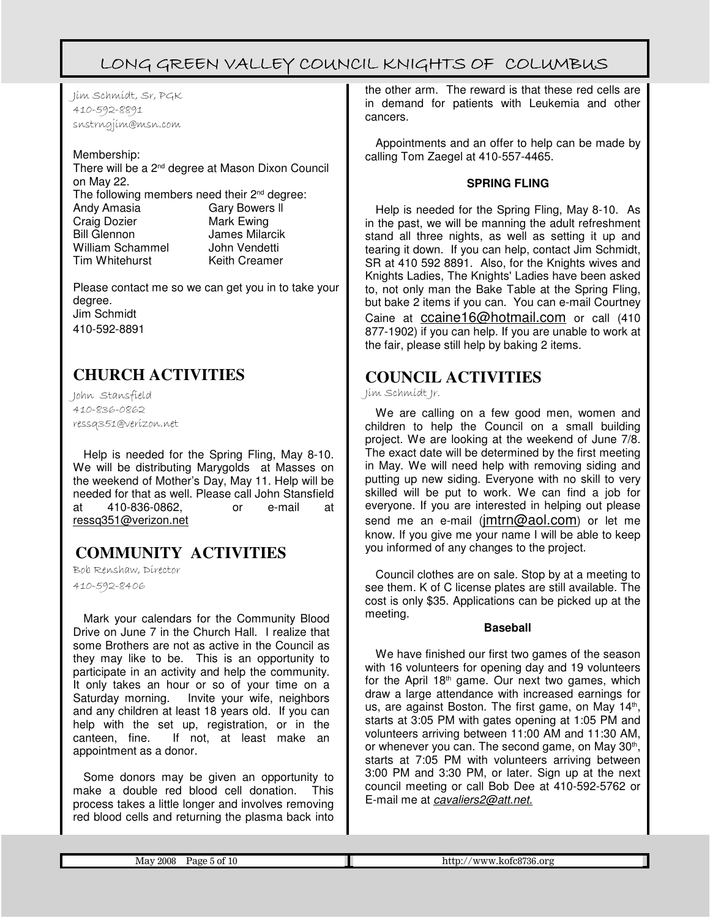Jim Schmidt, Sr, PGK 410-592-8891 snstrngjim@msn.com

#### Membership:

There will be a 2<sup>nd</sup> degree at Mason Dixon Council on May 22. The following members need their 2<sup>nd</sup> degree: Andy Amasia Gary Bowers ll Craig Dozier **Mark Ewing**<br>
Bill Glennon Mark Bollar James Milarcik<br>John Vendetti William Schammel<br>Tim Whitehurst Keith Creamer

Please contact me so we can get you in to take your degree. Jim Schmidt 410-592-8891

# **CHURCH ACTIVITIES**

John Stansfield 410-836-0862 ressq351@verizon.net

Help is needed for the Spring Fling, May 8-10. We will be distributing Marygolds at Masses on the weekend of Mother's Day, May 11. Help will be needed for that as well. Please call John Stansfield at 410-836-0862, or e-mail at ressq351@verizon.net

# **COMMUNITY ACTIVITIES**

Bob Renshaw, Director

410-592-8406

Mark your calendars for the Community Blood Drive on June 7 in the Church Hall. I realize that some Brothers are not as active in the Council as they may like to be. This is an opportunity to participate in an activity and help the community. It only takes an hour or so of your time on a Saturday morning. Invite your wife, neighbors and any children at least 18 years old. If you can help with the set up, registration, or in the canteen, fine. If not, at least make an appointment as a donor.

Some donors may be given an opportunity to make a double red blood cell donation. This process takes a little longer and involves removing red blood cells and returning the plasma back into the other arm. The reward is that these red cells are in demand for patients with Leukemia and other cancers.

Appointments and an offer to help can be made by calling Tom Zaegel at 410-557-4465.

#### **SPRING FLING**

Help is needed for the Spring Fling, May 8-10. As in the past, we will be manning the adult refreshment stand all three nights, as well as setting it up and tearing it down. If you can help, contact Jim Schmidt, SR at 410 592 8891. Also, for the Knights wives and Knights Ladies, The Knights' Ladies have been asked to, not only man the Bake Table at the Spring Fling, but bake 2 items if you can. You can e-mail Courtney Caine at ccaine16@hotmail.com or call (410 877-1902) if you can help. If you are unable to work at the fair, please still help by baking 2 items.

### **COUNCIL ACTIVITIES**

Jim Schmidt Jr.

We are calling on a few good men, women and children to help the Council on a small building project. We are looking at the weekend of June 7/8. The exact date will be determined by the first meeting in May. We will need help with removing siding and putting up new siding. Everyone with no skill to very skilled will be put to work. We can find a job for everyone. If you are interested in helping out please send me an e-mail  $(\text{imtrn@aol.com})$  or let me know. If you give me your name I will be able to keep you informed of any changes to the project.

Council clothes are on sale. Stop by at a meeting to see them. K of C license plates are still available. The cost is only \$35. Applications can be picked up at the meeting.

#### **Baseball**

We have finished our first two games of the season with 16 volunteers for opening day and 19 volunteers for the April  $18<sup>th</sup>$  game. Our next two games, which draw a large attendance with increased earnings for us, are against Boston. The first game, on May 14<sup>th</sup>, starts at 3:05 PM with gates opening at 1:05 PM and volunteers arriving between 11:00 AM and 11:30 AM, or whenever you can. The second game, on May 30<sup>th</sup>, starts at 7:05 PM with volunteers arriving between 3:00 PM and 3:30 PM, or later. Sign up at the next council meeting or call Bob Dee at 410-592-5762 or E-mail me at cavaliers2@att.net.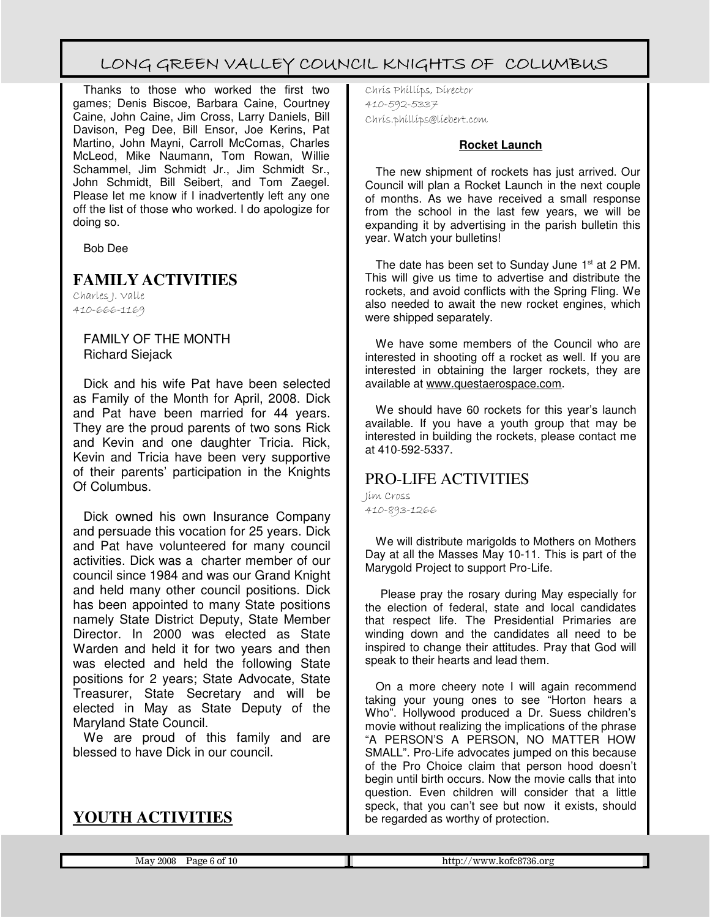Thanks to those who worked the first two games; Denis Biscoe, Barbara Caine, Courtney Caine, John Caine, Jim Cross, Larry Daniels, Bill Davison, Peg Dee, Bill Ensor, Joe Kerins, Pat Martino, John Mayni, Carroll McComas, Charles McLeod, Mike Naumann, Tom Rowan, Willie Schammel, Jim Schmidt Jr., Jim Schmidt Sr., John Schmidt, Bill Seibert, and Tom Zaegel. Please let me know if I inadvertently left any one off the list of those who worked. I do apologize for doing so.

Bob Dee

### **FAMILY ACTIVITIES**

Charles J. Valle 410-666-1169

> FAMILY OF THE MONTH Richard Siejack

Dick and his wife Pat have been selected as Family of the Month for April, 2008. Dick and Pat have been married for 44 years. They are the proud parents of two sons Rick and Kevin and one daughter Tricia. Rick, Kevin and Tricia have been very supportive of their parents' participation in the Knights Of Columbus.

Dick owned his own Insurance Company and persuade this vocation for 25 years. Dick and Pat have volunteered for many council activities. Dick was a charter member of our council since 1984 and was our Grand Knight and held many other council positions. Dick has been appointed to many State positions namely State District Deputy, State Member Director. In 2000 was elected as State Warden and held it for two years and then was elected and held the following State positions for 2 years; State Advocate, State Treasurer, State Secretary and will be elected in May as State Deputy of the Maryland State Council.

We are proud of this family and are blessed to have Dick in our council.

# **YOUTH ACTIVITIES**

Chris Phillips, Director 410-592-5337 Chris.phillips@liebert.com

#### **Rocket Launch**

The new shipment of rockets has just arrived. Our Council will plan a Rocket Launch in the next couple of months. As we have received a small response from the school in the last few years, we will be expanding it by advertising in the parish bulletin this year. Watch your bulletins!

The date has been set to Sunday June 1<sup>st</sup> at 2 PM. This will give us time to advertise and distribute the rockets, and avoid conflicts with the Spring Fling. We also needed to await the new rocket engines, which were shipped separately.

We have some members of the Council who are interested in shooting off a rocket as well. If you are interested in obtaining the larger rockets, they are available at www.questaerospace.com.

We should have 60 rockets for this year's launch available. If you have a youth group that may be interested in building the rockets, please contact me at 410-592-5337.

### PRO-LIFE ACTIVITIES

Jim Cross 410-893-1266

We will distribute marigolds to Mothers on Mothers Day at all the Masses May 10-11. This is part of the Marygold Project to support Pro-Life.

 Please pray the rosary during May especially for the election of federal, state and local candidates that respect life. The Presidential Primaries are winding down and the candidates all need to be inspired to change their attitudes. Pray that God will speak to their hearts and lead them.

On a more cheery note I will again recommend taking your young ones to see "Horton hears a Who". Hollywood produced a Dr. Suess children's movie without realizing the implications of the phrase "A PERSON'S A PERSON, NO MATTER HOW SMALL". Pro-Life advocates jumped on this because of the Pro Choice claim that person hood doesn't begin until birth occurs. Now the movie calls that into question. Even children will consider that a little speck, that you can't see but now it exists, should be regarded as worthy of protection.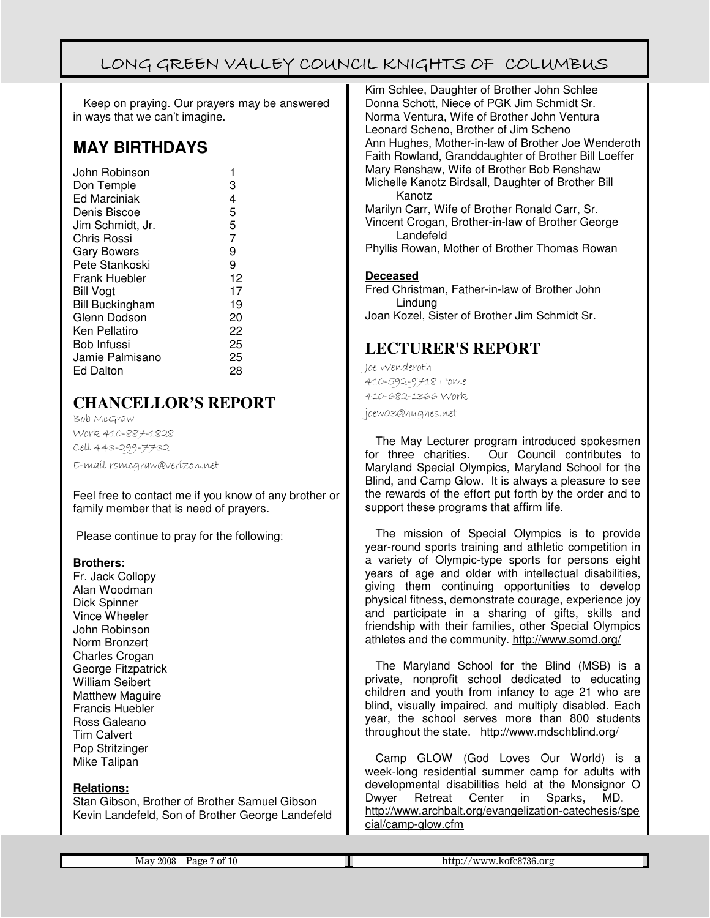Keep on praying. Our prayers may be answered in ways that we can't imagine.

### **MAY BIRTHDAYS**

| John Robinson          |    |
|------------------------|----|
| Don Temple             | 3  |
| <b>Ed Marciniak</b>    | 4  |
| Denis Biscoe           | 5  |
| Jim Schmidt, Jr.       | 5  |
| Chris Rossi            | 7  |
| <b>Gary Bowers</b>     | 9  |
| Pete Stankoski         | 9  |
| <b>Frank Huebler</b>   | 12 |
| <b>Bill Vogt</b>       | 17 |
| <b>Bill Buckingham</b> | 19 |
| Glenn Dodson           | 20 |
| Ken Pellatiro          | 22 |
| Bob Infussi            | 25 |
| Jamie Palmisano        | 25 |
| <b>Ed Dalton</b>       | 28 |
|                        |    |

# **CHANCELLOR'S REPORT**

Bob McGraw Work 410-887-1828 Cell 443-299-7732 E-mail rsmcgraw@verizon.net

Feel free to contact me if you know of any brother or family member that is need of prayers.

Please continue to pray for the following:

#### **Brothers:**

Fr. Jack Collopy Alan Woodman Dick Spinner Vince Wheeler John Robinson Norm Bronzert Charles Crogan George Fitzpatrick William Seibert Matthew Maguire Francis Huebler Ross Galeano Tim Calvert Pop Stritzinger Mike Talipan

#### **Relations:**

Stan Gibson, Brother of Brother Samuel Gibson Kevin Landefeld, Son of Brother George Landefeld

Kim Schlee, Daughter of Brother John Schlee Donna Schott, Niece of PGK Jim Schmidt Sr. Norma Ventura, Wife of Brother John Ventura Leonard Scheno, Brother of Jim Scheno Ann Hughes, Mother-in-law of Brother Joe Wenderoth Faith Rowland, Granddaughter of Brother Bill Loeffer Mary Renshaw, Wife of Brother Bob Renshaw Michelle Kanotz Birdsall, Daughter of Brother Bill Kanotz Marilyn Carr, Wife of Brother Ronald Carr, Sr.

Vincent Crogan, Brother-in-law of Brother George Landefeld

Phyllis Rowan, Mother of Brother Thomas Rowan

#### **Deceased**

Fred Christman, Father-in-law of Brother John Lindung Joan Kozel, Sister of Brother Jim Schmidt Sr.

### **LECTURER'S REPORT**

Joe Wenderoth 410-592-9718 Home 410-682-1366 Work

joew03@hughes.net

The May Lecturer program introduced spokesmen for three charities. Our Council contributes to Maryland Special Olympics, Maryland School for the Blind, and Camp Glow. It is always a pleasure to see the rewards of the effort put forth by the order and to support these programs that affirm life.

The mission of Special Olympics is to provide year-round sports training and athletic competition in a variety of Olympic-type sports for persons eight years of age and older with intellectual disabilities, giving them continuing opportunities to develop physical fitness, demonstrate courage, experience joy and participate in a sharing of gifts, skills and friendship with their families, other Special Olympics athletes and the community. http://www.somd.org/

The Maryland School for the Blind (MSB) is a private, nonprofit school dedicated to educating children and youth from infancy to age 21 who are blind, visually impaired, and multiply disabled. Each year, the school serves more than 800 students throughout the state. http://www.mdschblind.org/

Camp GLOW (God Loves Our World) is a week-long residential summer camp for adults with developmental disabilities held at the Monsignor O<br>Dwyer Retreat Center in Sparks, MD. Center in Sparks, http://www.archbalt.org/evangelization-catechesis/spe cial/camp-glow.cfm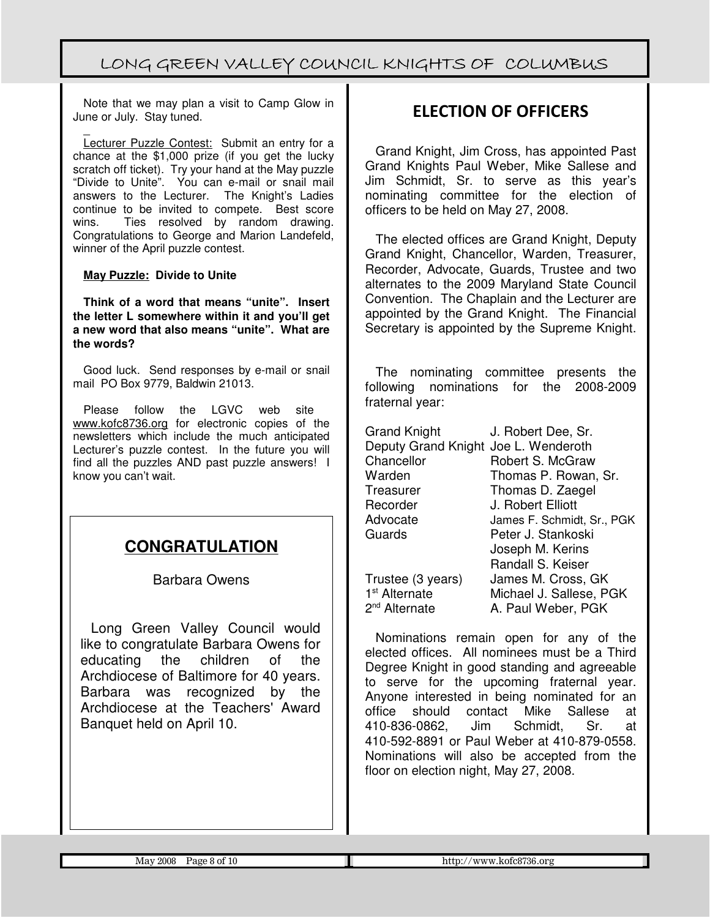Note that we may plan a visit to Camp Glow in June or July. Stay tuned.

 $\overline{a}$ Lecturer Puzzle Contest: Submit an entry for a chance at the \$1,000 prize (if you get the lucky scratch off ticket). Try your hand at the May puzzle "Divide to Unite". You can e-mail or snail mail answers to the Lecturer. The Knight's Ladies continue to be invited to compete. Best score<br>wins. Ties resolved by random drawing. Ties resolved by random drawing. Congratulations to George and Marion Landefeld, winner of the April puzzle contest.

#### **May Puzzle: Divide to Unite**

**Think of a word that means "unite". Insert the letter L somewhere within it and you'll get a new word that also means "unite". What are the words?**

Good luck. Send responses by e-mail or snail mail PO Box 9779, Baldwin 21013.

Please follow the LGVC web site www.kofc8736.org for electronic copies of the newsletters which include the much anticipated Lecturer's puzzle contest. In the future you will find all the puzzles AND past puzzle answers! I know you can't wait.

### **CONGRATULATION**

#### Barbara Owens

Long Green Valley Council would like to congratulate Barbara Owens for educating the children of the Archdiocese of Baltimore for 40 years. Barbara was recognized by the Archdiocese at the Teachers' Award Banquet held on April 10.

### ELECTION OF OFFICERS

Grand Knight, Jim Cross, has appointed Past Grand Knights Paul Weber, Mike Sallese and Jim Schmidt, Sr. to serve as this year's nominating committee for the election of officers to be held on May 27, 2008.

The elected offices are Grand Knight, Deputy Grand Knight, Chancellor, Warden, Treasurer, Recorder, Advocate, Guards, Trustee and two alternates to the 2009 Maryland State Council Convention. The Chaplain and the Lecturer are appointed by the Grand Knight. The Financial Secretary is appointed by the Supreme Knight.

The nominating committee presents the following nominations for the 2008-2009 fraternal year:

| <b>Grand Knight</b>                  | J. Robert Dee, Sr.         |
|--------------------------------------|----------------------------|
| Deputy Grand Knight Joe L. Wenderoth |                            |
| Chancellor                           | Robert S. McGraw           |
| Warden                               | Thomas P. Rowan, Sr.       |
| Treasurer                            | Thomas D. Zaegel           |
| Recorder                             | J. Robert Elliott          |
| Advocate                             | James F. Schmidt, Sr., PGK |
| Guards                               | Peter J. Stankoski         |
|                                      | Joseph M. Kerins           |
|                                      | Randall S. Keiser          |
| Trustee (3 years)                    | James M. Cross, GK         |
| 1 <sup>st</sup> Alternate            | Michael J. Sallese, PGK    |
| 2 <sup>nd</sup> Alternate            | A. Paul Weber, PGK         |

Nominations remain open for any of the elected offices. All nominees must be a Third Degree Knight in good standing and agreeable to serve for the upcoming fraternal year. Anyone interested in being nominated for an office should contact Mike Sallese at 410-836-0862, Jim Schmidt, Sr. at 410-592-8891 or Paul Weber at 410-879-0558. Nominations will also be accepted from the floor on election night, May 27, 2008.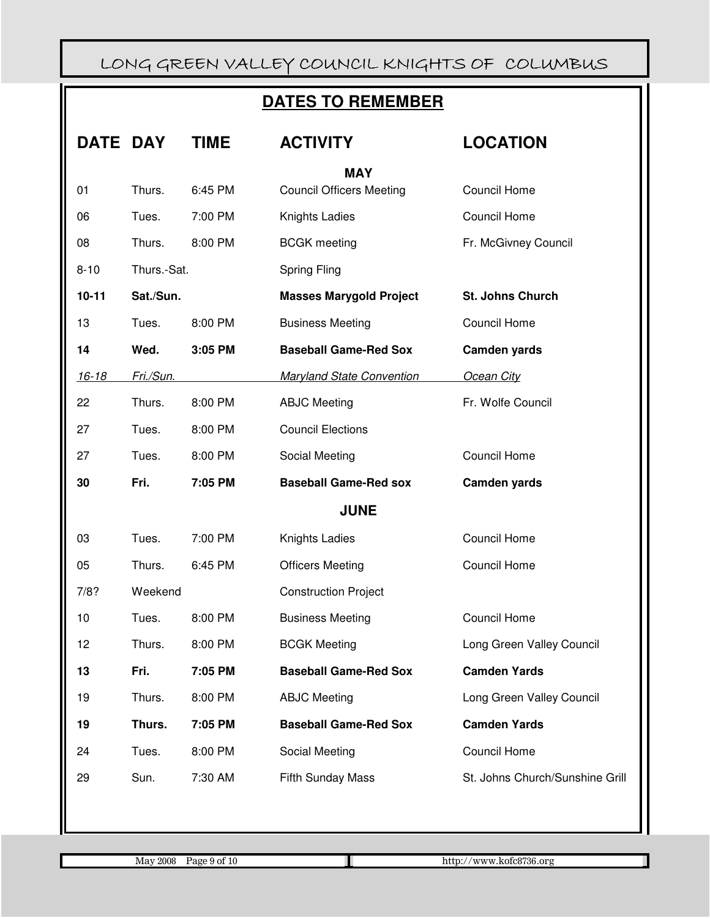# **DATES TO REMEMBER**

| DATE      | <b>DAY</b>  | TIME    | <b>ACTIVITY</b>                  | <b>LOCATION</b>                 |
|-----------|-------------|---------|----------------------------------|---------------------------------|
|           |             |         | <b>MAY</b>                       |                                 |
| 01        | Thurs.      | 6:45 PM | <b>Council Officers Meeting</b>  | Council Home                    |
| 06        | Tues.       | 7:00 PM | Knights Ladies                   | Council Home                    |
| 08        | Thurs.      | 8:00 PM | <b>BCGK</b> meeting              | Fr. McGivney Council            |
| $8 - 10$  | Thurs.-Sat. |         | Spring Fling                     |                                 |
| $10 - 11$ | Sat./Sun.   |         | <b>Masses Marygold Project</b>   | St. Johns Church                |
| 13        | Tues.       | 8:00 PM | <b>Business Meeting</b>          | Council Home                    |
| 14        | Wed.        | 3:05 PM | <b>Baseball Game-Red Sox</b>     | <b>Camden yards</b>             |
| $16 - 18$ | Fri./Sun.   |         | <b>Maryland State Convention</b> | <b>Ocean City</b>               |
| 22        | Thurs.      | 8:00 PM | <b>ABJC Meeting</b>              | Fr. Wolfe Council               |
| 27        | Tues.       | 8:00 PM | <b>Council Elections</b>         |                                 |
| 27        | Tues.       | 8:00 PM | Social Meeting                   | Council Home                    |
|           |             |         |                                  |                                 |
| 30        | Fri.        | 7:05 PM | <b>Baseball Game-Red sox</b>     | Camden yards                    |
|           |             |         | <b>JUNE</b>                      |                                 |
| 03        | Tues.       | 7:00 PM | Knights Ladies                   | Council Home                    |
| 05        | Thurs.      | 6:45 PM | <b>Officers Meeting</b>          | Council Home                    |
| 7/8?      | Weekend     |         | <b>Construction Project</b>      |                                 |
| 10        | Tues.       | 8:00 PM | <b>Business Meeting</b>          | Council Home                    |
| 12        | Thurs.      | 8:00 PM | <b>BCGK Meeting</b>              | Long Green Valley Council       |
| 13        | Fri.        | 7:05 PM | <b>Baseball Game-Red Sox</b>     | <b>Camden Yards</b>             |
| 19        | Thurs.      | 8:00 PM | <b>ABJC Meeting</b>              | Long Green Valley Council       |
| 19        | Thurs.      | 7:05 PM | <b>Baseball Game-Red Sox</b>     | <b>Camden Yards</b>             |
| 24        | Tues.       | 8:00 PM | Social Meeting                   | <b>Council Home</b>             |
| 29        | Sun.        | 7:30 AM | <b>Fifth Sunday Mass</b>         | St. Johns Church/Sunshine Grill |